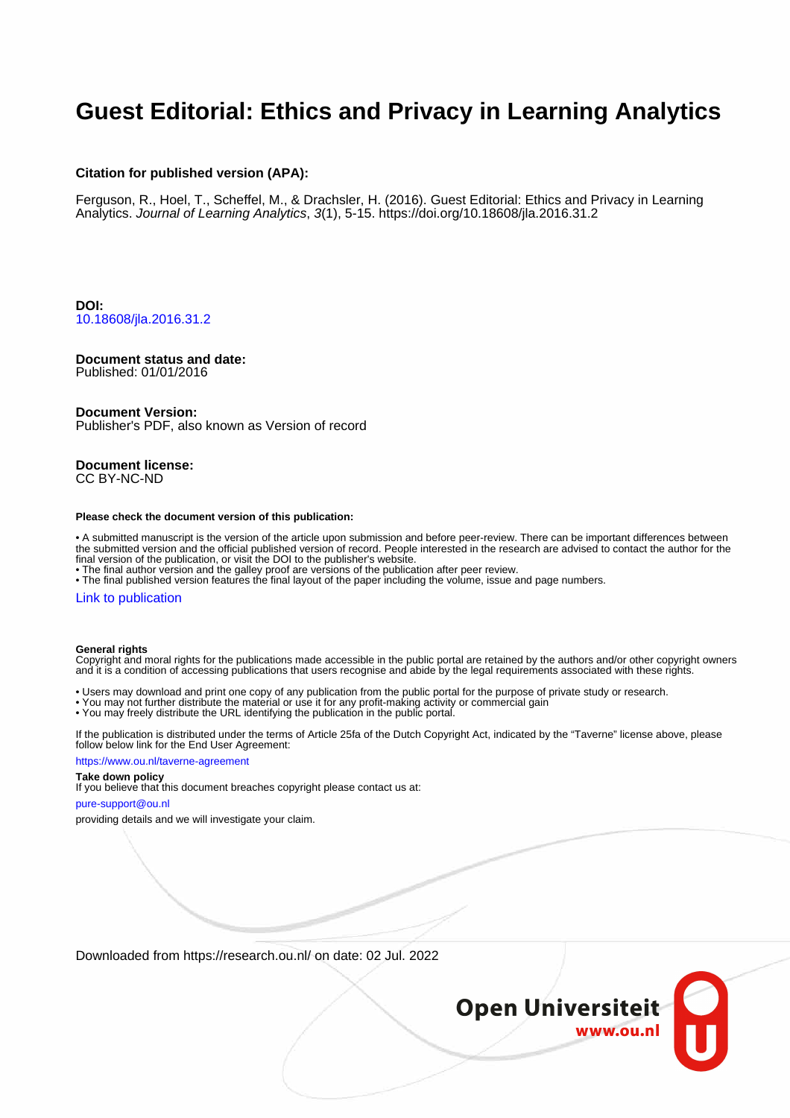# **Guest Editorial: Ethics and Privacy in Learning Analytics**

#### **Citation for published version (APA):**

Ferguson, R., Hoel, T., Scheffel, M., & Drachsler, H. (2016). Guest Editorial: Ethics and Privacy in Learning Analytics. Journal of Learning Analytics, 3(1), 5-15.<https://doi.org/10.18608/jla.2016.31.2>

**DOI:** [10.18608/jla.2016.31.2](https://doi.org/10.18608/jla.2016.31.2)

#### **Document status and date:**

Published: 01/01/2016

#### **Document Version:**

Publisher's PDF, also known as Version of record

#### **Document license:** CC BY-NC-ND

#### **Please check the document version of this publication:**

• A submitted manuscript is the version of the article upon submission and before peer-review. There can be important differences between the submitted version and the official published version of record. People interested in the research are advised to contact the author for the final version of the publication, or visit the DOI to the publisher's website.

• The final author version and the galley proof are versions of the publication after peer review.

• The final published version features the final layout of the paper including the volume, issue and page numbers.

#### [Link to publication](https://research.ou.nl/en/publications/f5a6e340-c507-423f-836f-2388ca8f8f01)

#### **General rights**

Copyright and moral rights for the publications made accessible in the public portal are retained by the authors and/or other copyright owners and it is a condition of accessing publications that users recognise and abide by the legal requirements associated with these rights.

- Users may download and print one copy of any publication from the public portal for the purpose of private study or research.
- You may not further distribute the material or use it for any profit-making activity or commercial gain
- You may freely distribute the URL identifying the publication in the public portal.

If the publication is distributed under the terms of Article 25fa of the Dutch Copyright Act, indicated by the "Taverne" license above, please follow below link for the End User Agreement:

#### https://www.ou.nl/taverne-agreement

#### **Take down policy**

If you believe that this document breaches copyright please contact us at:

#### pure-support@ou.nl

providing details and we will investigate your claim.

Downloaded from https://research.ou.nl/ on date: 02 Jul. 2022

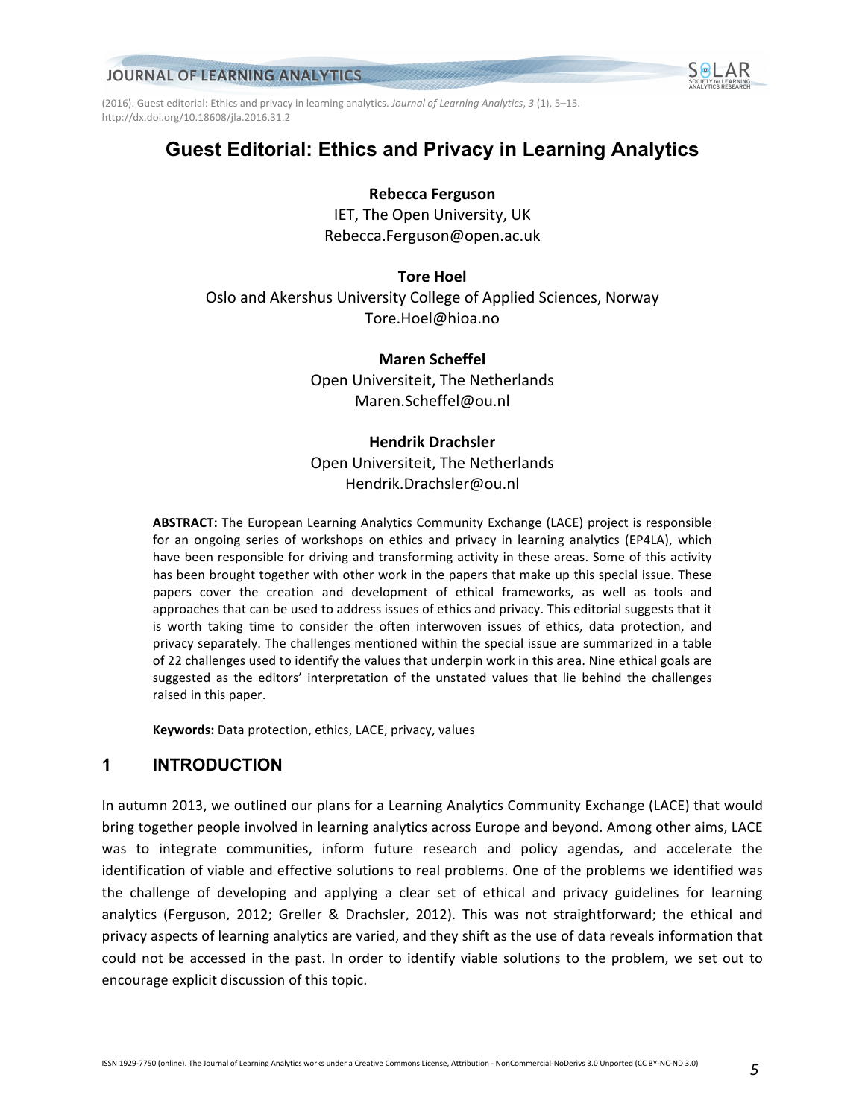(2016). Guest editorial: Ethics and privacy in learning analytics. *Journal of Learning Analytics*, 3 (1), 5–15. http://dx.doi.org/10.18608/jla.2016.31.2

# **Guest Editorial: Ethics and Privacy in Learning Analytics**

### **Rebecca Ferguson**

IET, The Open University, UK Rebecca.Ferguson@open.ac.uk

# **Tore Hoel** Oslo and Akershus University College of Applied Sciences, Norway Tore.Hoel@hioa.no

**Maren Scheffel** Open Universiteit, The Netherlands Maren.Scheffel@ou.nl

# **Hendrik Drachsler**

Open Universiteit, The Netherlands Hendrik.Drachsler@ou.nl

**ABSTRACT:** The European Learning Analytics Community Exchange (LACE) project is responsible for an ongoing series of workshops on ethics and privacy in learning analytics (EP4LA), which have been responsible for driving and transforming activity in these areas. Some of this activity has been brought together with other work in the papers that make up this special issue. These papers cover the creation and development of ethical frameworks, as well as tools and approaches that can be used to address issues of ethics and privacy. This editorial suggests that it is worth taking time to consider the often interwoven issues of ethics, data protection, and privacy separately. The challenges mentioned within the special issue are summarized in a table of 22 challenges used to identify the values that underpin work in this area. Nine ethical goals are suggested as the editors' interpretation of the unstated values that lie behind the challenges raised in this paper.

**Keywords:** Data protection, ethics, LACE, privacy, values

# **1 INTRODUCTION**

In autumn 2013, we outlined our plans for a Learning Analytics Community Exchange (LACE) that would bring together people involved in learning analytics across Europe and beyond. Among other aims, LACE was to integrate communities, inform future research and policy agendas, and accelerate the identification of viable and effective solutions to real problems. One of the problems we identified was the challenge of developing and applying a clear set of ethical and privacy guidelines for learning analytics (Ferguson, 2012; Greller & Drachsler, 2012). This was not straightforward; the ethical and privacy aspects of learning analytics are varied, and they shift as the use of data reveals information that could not be accessed in the past. In order to identify viable solutions to the problem, we set out to encourage explicit discussion of this topic.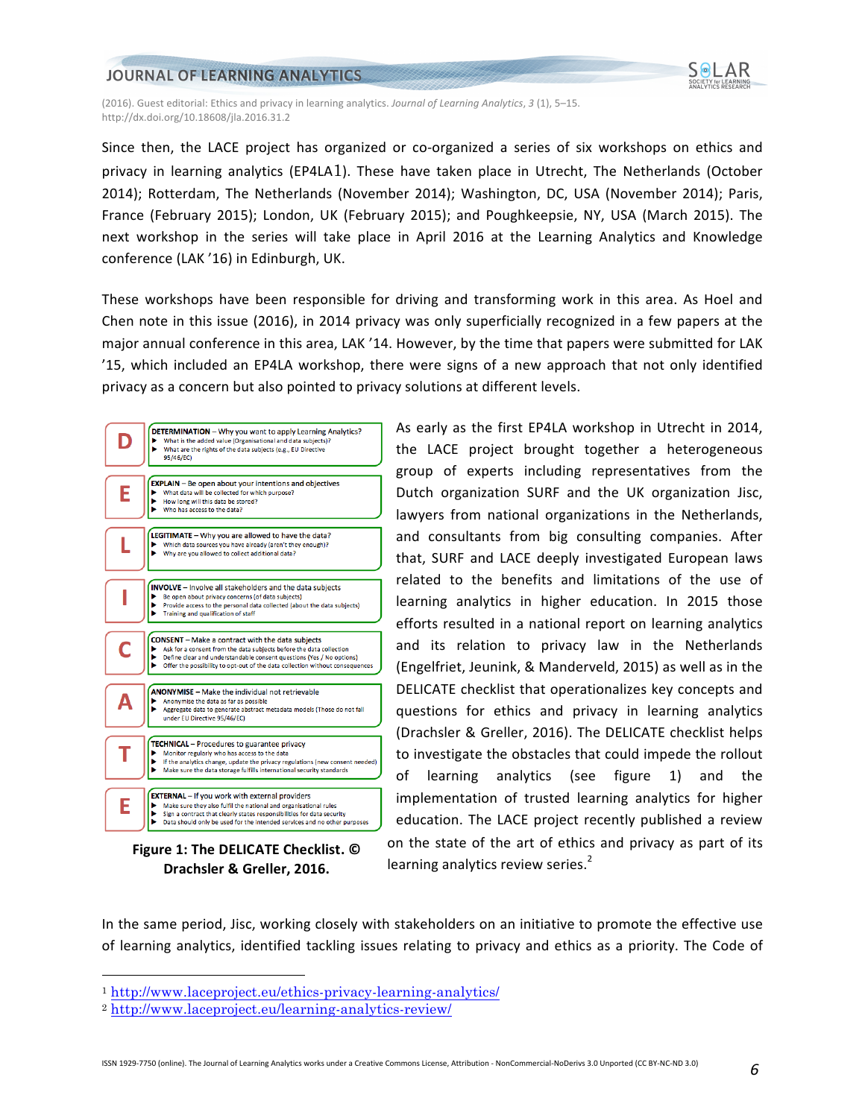

(2016). Guest editorial: Ethics and privacy in learning analytics. *Journal of Learning Analytics*, 3 (1), 5–15. http://dx.doi.org/10.18608/jla.2016.31.2

Since then, the LACE project has organized or co-organized a series of six workshops on ethics and privacy in learning analytics (EP4LA1). These have taken place in Utrecht, The Netherlands (October 2014); Rotterdam, The Netherlands (November 2014); Washington, DC, USA (November 2014); Paris, France (February 2015); London, UK (February 2015); and Poughkeepsie, NY, USA (March 2015). The next workshop in the series will take place in April 2016 at the Learning Analytics and Knowledge conference (LAK '16) in Edinburgh, UK.

These workshops have been responsible for driving and transforming work in this area. As Hoel and Chen note in this issue (2016), in 2014 privacy was only superficially recognized in a few papers at the major annual conference in this area, LAK '14. However, by the time that papers were submitted for LAK '15, which included an EP4LA workshop, there were signs of a new approach that not only identified privacy as a concern but also pointed to privacy solutions at different levels.



**Drachsler & Greller, 2016.**

As early as the first EP4LA workshop in Utrecht in 2014, the LACE project brought together a heterogeneous group of experts including representatives from the Dutch organization SURF and the UK organization Jisc, lawyers from national organizations in the Netherlands, and consultants from big consulting companies. After that, SURF and LACE deeply investigated European laws related to the benefits and limitations of the use of learning analytics in higher education. In 2015 those efforts resulted in a national report on learning analytics and its relation to privacy law in the Netherlands (Engelfriet, Jeunink, & Manderveld, 2015) as well as in the DELICATE checklist that operationalizes key concepts and questions for ethics and privacy in learning analytics (Drachsler & Greller, 2016). The DELICATE checklist helps to investigate the obstacles that could impede the rollout of learning analytics (see figure 1) and the implementation of trusted learning analytics for higher education. The LACE project recently published a review on the state of the art of ethics and privacy as part of its learning analytics review series.<sup>2</sup>

In the same period, Jisc, working closely with stakeholders on an initiative to promote the effective use of learning analytics, identified tackling issues relating to privacy and ethics as a priority. The Code of

 <sup>1</sup> http://www.laceproject.eu/ethics-privacy-learning-analytics/

<sup>2</sup> http://www.laceproject.eu/learning-analytics-review/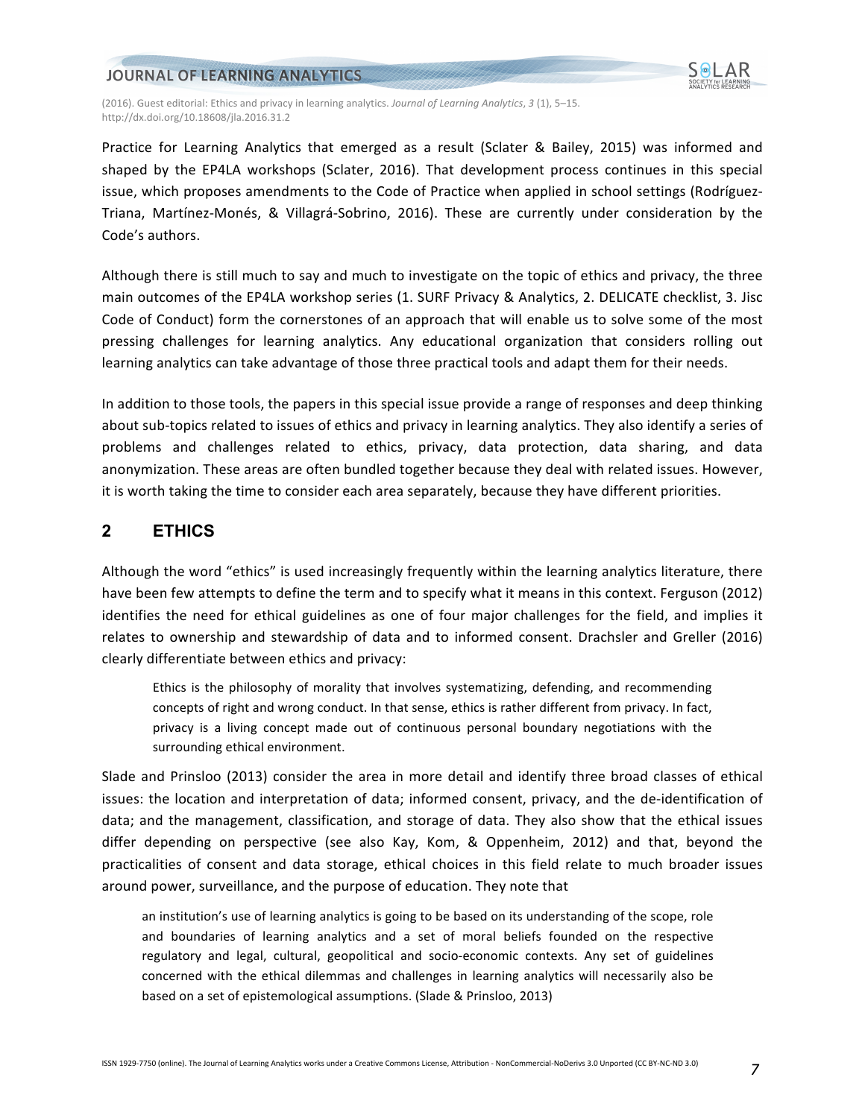

(2016). Guest editorial: Ethics and privacy in learning analytics. *Journal of Learning Analytics*, 3 (1), 5–15. http://dx.doi.org/10.18608/jla.2016.31.2

Practice for Learning Analytics that emerged as a result (Sclater & Bailey, 2015) was informed and shaped by the EP4LA workshops (Sclater, 2016). That development process continues in this special issue, which proposes amendments to the Code of Practice when applied in school settings (Rodríguez-Triana, Martínez-Monés, & Villagrá-Sobrino, 2016). These are currently under consideration by the Code's authors.

Although there is still much to say and much to investigate on the topic of ethics and privacy, the three main outcomes of the EP4LA workshop series (1. SURF Privacy & Analytics, 2. DELICATE checklist, 3. Jisc Code of Conduct) form the cornerstones of an approach that will enable us to solve some of the most pressing challenges for learning analytics. Any educational organization that considers rolling out learning analytics can take advantage of those three practical tools and adapt them for their needs.

In addition to those tools, the papers in this special issue provide a range of responses and deep thinking about sub-topics related to issues of ethics and privacy in learning analytics. They also identify a series of problems and challenges related to ethics, privacy, data protection, data sharing, and data anonymization. These areas are often bundled together because they deal with related issues. However, it is worth taking the time to consider each area separately, because they have different priorities.

### **2 ETHICS**

Although the word "ethics" is used increasingly frequently within the learning analytics literature, there have been few attempts to define the term and to specify what it means in this context. Ferguson (2012) identifies the need for ethical guidelines as one of four major challenges for the field, and implies it relates to ownership and stewardship of data and to informed consent. Drachsler and Greller (2016) clearly differentiate between ethics and privacy:

Ethics is the philosophy of morality that involves systematizing, defending, and recommending concepts of right and wrong conduct. In that sense, ethics is rather different from privacy. In fact, privacy is a living concept made out of continuous personal boundary negotiations with the surrounding ethical environment.

Slade and Prinsloo (2013) consider the area in more detail and identify three broad classes of ethical issues: the location and interpretation of data; informed consent, privacy, and the de-identification of data; and the management, classification, and storage of data. They also show that the ethical issues differ depending on perspective (see also Kay, Kom, & Oppenheim, 2012) and that, beyond the practicalities of consent and data storage, ethical choices in this field relate to much broader issues around power, surveillance, and the purpose of education. They note that

an institution's use of learning analytics is going to be based on its understanding of the scope, role and boundaries of learning analytics and a set of moral beliefs founded on the respective regulatory and legal, cultural, geopolitical and socio-economic contexts. Any set of guidelines concerned with the ethical dilemmas and challenges in learning analytics will necessarily also be based on a set of epistemological assumptions. (Slade & Prinsloo, 2013)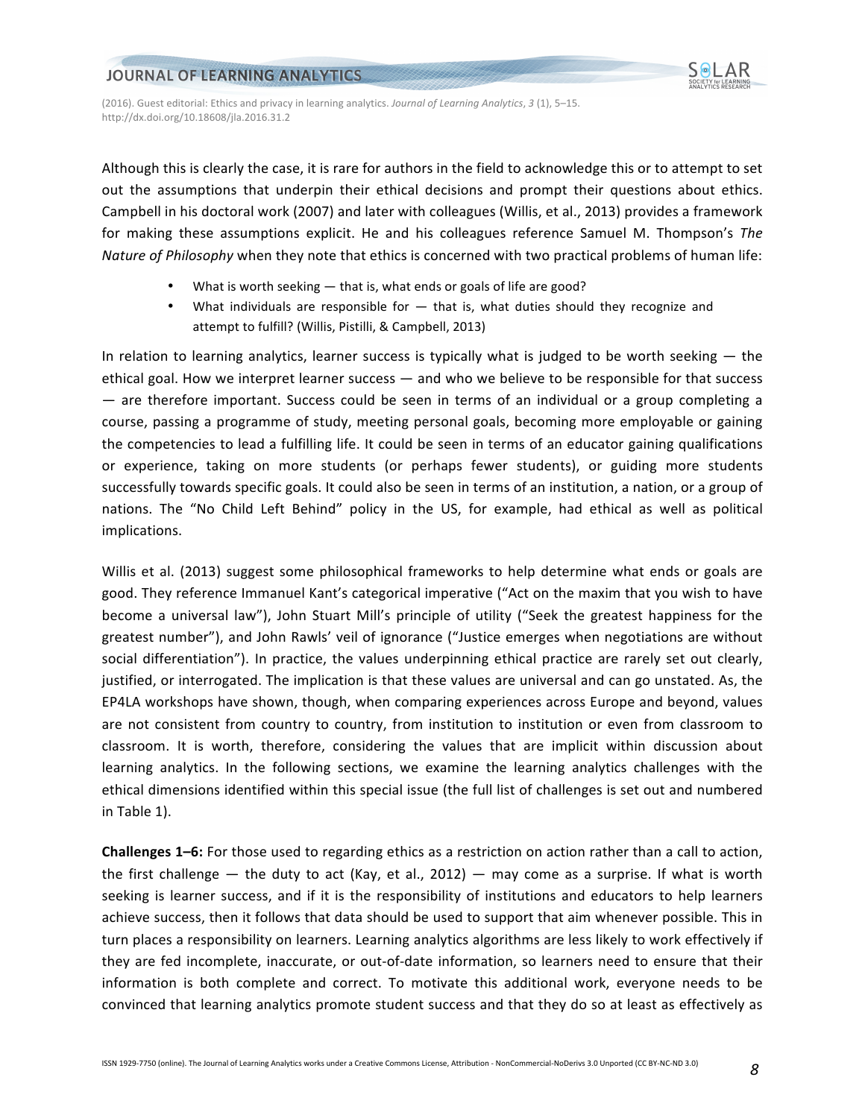

(2016). Guest editorial: Ethics and privacy in learning analytics. *Journal of Learning Analytics*, 3 (1), 5–15. http://dx.doi.org/10.18608/jla.2016.31.2

Although this is clearly the case, it is rare for authors in the field to acknowledge this or to attempt to set out the assumptions that underpin their ethical decisions and prompt their questions about ethics. Campbell in his doctoral work (2007) and later with colleagues (Willis, et al., 2013) provides a framework for making these assumptions explicit. He and his colleagues reference Samuel M. Thompson's The *Nature of Philosophy* when they note that ethics is concerned with two practical problems of human life:

- What is worth seeking  $-$  that is, what ends or goals of life are good?
- What individuals are responsible for  $-$  that is, what duties should they recognize and attempt to fulfill? (Willis, Pistilli, & Campbell, 2013)

In relation to learning analytics, learner success is typically what is judged to be worth seeking  $-$  the ethical goal. How we interpret learner success  $-$  and who we believe to be responsible for that success  $-$  are therefore important. Success could be seen in terms of an individual or a group completing a course, passing a programme of study, meeting personal goals, becoming more employable or gaining the competencies to lead a fulfilling life. It could be seen in terms of an educator gaining qualifications or experience, taking on more students (or perhaps fewer students), or guiding more students successfully towards specific goals. It could also be seen in terms of an institution, a nation, or a group of nations. The "No Child Left Behind" policy in the US, for example, had ethical as well as political implications.

Willis et al. (2013) suggest some philosophical frameworks to help determine what ends or goals are good. They reference Immanuel Kant's categorical imperative ("Act on the maxim that you wish to have become a universal law"), John Stuart Mill's principle of utility ("Seek the greatest happiness for the greatest number"), and John Rawls' veil of ignorance ("Justice emerges when negotiations are without social differentiation"). In practice, the values underpinning ethical practice are rarely set out clearly, justified, or interrogated. The implication is that these values are universal and can go unstated. As, the EP4LA workshops have shown, though, when comparing experiences across Europe and beyond, values are not consistent from country to country, from institution to institution or even from classroom to classroom. It is worth, therefore, considering the values that are implicit within discussion about learning analytics. In the following sections, we examine the learning analytics challenges with the ethical dimensions identified within this special issue (the full list of challenges is set out and numbered in Table 1).

**Challenges 1–6:** For those used to regarding ethics as a restriction on action rather than a call to action, the first challenge — the duty to act (Kay, et al.,  $2012$ ) — may come as a surprise. If what is worth seeking is learner success, and if it is the responsibility of institutions and educators to help learners achieve success, then it follows that data should be used to support that aim whenever possible. This in turn places a responsibility on learners. Learning analytics algorithms are less likely to work effectively if they are fed incomplete, inaccurate, or out-of-date information, so learners need to ensure that their information is both complete and correct. To motivate this additional work, everyone needs to be convinced that learning analytics promote student success and that they do so at least as effectively as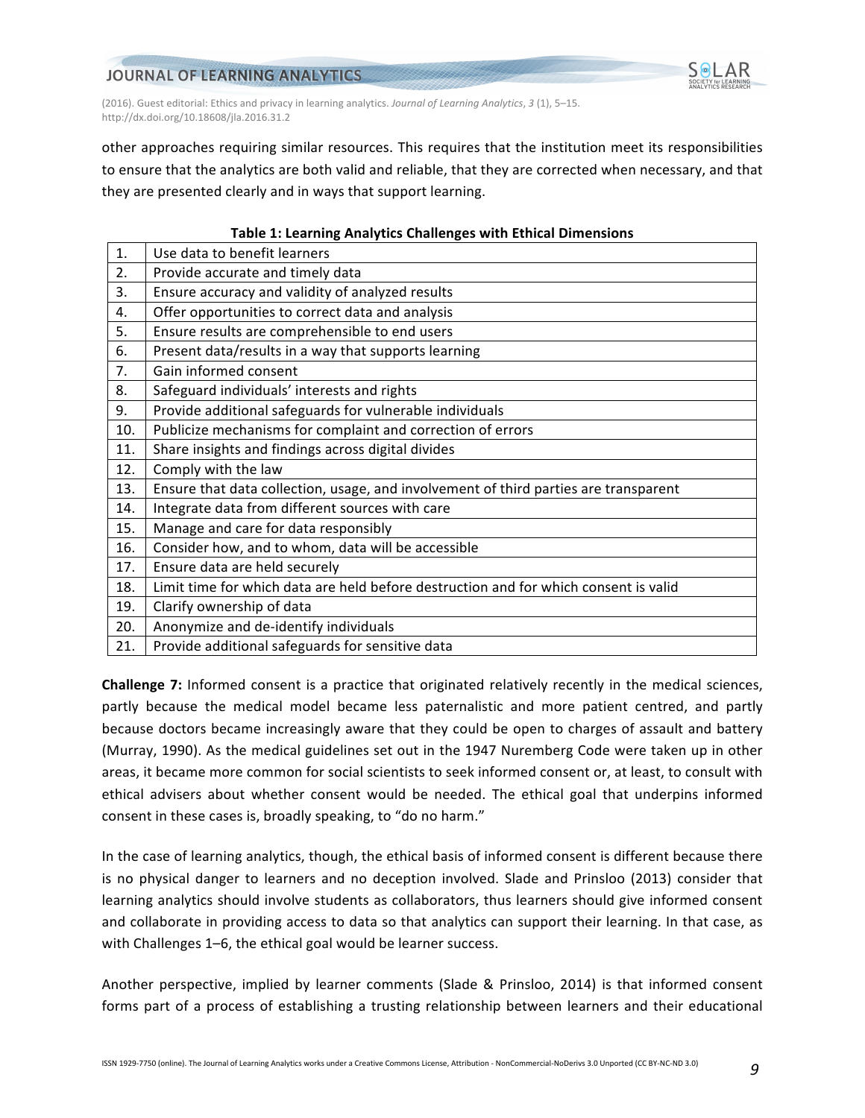

(2016). Guest editorial: Ethics and privacy in learning analytics. *Journal of Learning Analytics*, 3 (1), 5–15. http://dx.doi.org/10.18608/jla.2016.31.2

other approaches requiring similar resources. This requires that the institution meet its responsibilities to ensure that the analytics are both valid and reliable, that they are corrected when necessary, and that they are presented clearly and in ways that support learning.

# **Table 1: Learning Analytics Challenges with Ethical Dimensions** 1. | Use data to benefit learners 2. Provide accurate and timely data  $3.$  Ensure accuracy and validity of analyzed results 4.  $\Box$  Offer opportunities to correct data and analysis 5.  $\vert$  Ensure results are comprehensible to end users 6. Present data/results in a way that supports learning 7. Gain informed consent 8. Safeguard individuals' interests and rights 9.  $\Box$  Provide additional safeguards for vulnerable individuals 10. Publicize mechanisms for complaint and correction of errors 11. Share insights and findings across digital divides 12. Comply with the law 13.  $\mid$  Ensure that data collection, usage, and involvement of third parties are transparent 14. Integrate data from different sources with care 15. Manage and care for data responsibly 16. Consider how, and to whom, data will be accessible 17. Ensure data are held securely 18. Limit time for which data are held before destruction and for which consent is valid 19.  $\vert$  Clarify ownership of data

- 20.  $\vert$  Anonymize and de-identify individuals
- 21. Provide additional safeguards for sensitive data

**Challenge 7:** Informed consent is a practice that originated relatively recently in the medical sciences, partly because the medical model became less paternalistic and more patient centred, and partly because doctors became increasingly aware that they could be open to charges of assault and battery (Murray, 1990). As the medical guidelines set out in the 1947 Nuremberg Code were taken up in other areas, it became more common for social scientists to seek informed consent or, at least, to consult with ethical advisers about whether consent would be needed. The ethical goal that underpins informed consent in these cases is, broadly speaking, to "do no harm."

In the case of learning analytics, though, the ethical basis of informed consent is different because there is no physical danger to learners and no deception involved. Slade and Prinsloo (2013) consider that learning analytics should involve students as collaborators, thus learners should give informed consent and collaborate in providing access to data so that analytics can support their learning. In that case, as with Challenges 1–6, the ethical goal would be learner success.

Another perspective, implied by learner comments (Slade & Prinsloo, 2014) is that informed consent forms part of a process of establishing a trusting relationship between learners and their educational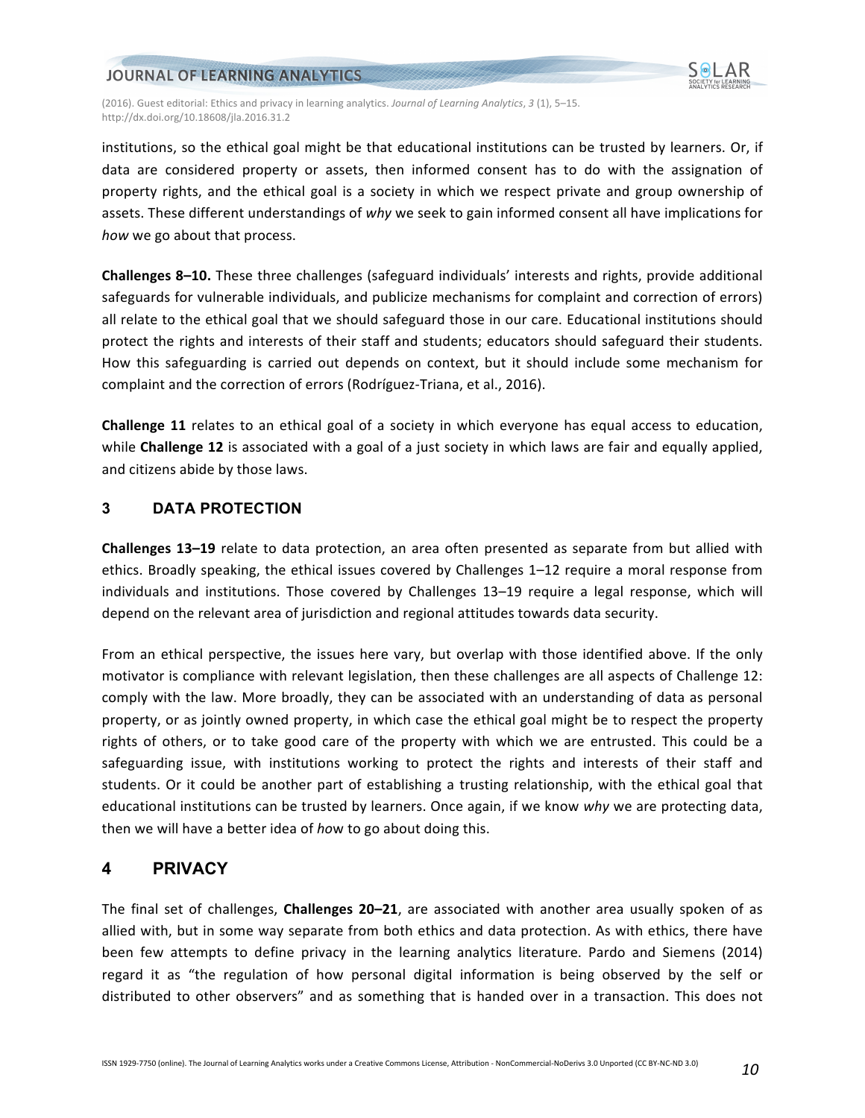

(2016). Guest editorial: Ethics and privacy in learning analytics. *Journal of Learning Analytics*, 3 (1), 5–15. http://dx.doi.org/10.18608/jla.2016.31.2

institutions, so the ethical goal might be that educational institutions can be trusted by learners. Or, if data are considered property or assets, then informed consent has to do with the assignation of property rights, and the ethical goal is a society in which we respect private and group ownership of assets. These different understandings of why we seek to gain informed consent all have implications for *how* we go about that process.

**Challenges 8–10.** These three challenges (safeguard individuals' interests and rights, provide additional safeguards for vulnerable individuals, and publicize mechanisms for complaint and correction of errors) all relate to the ethical goal that we should safeguard those in our care. Educational institutions should protect the rights and interests of their staff and students; educators should safeguard their students. How this safeguarding is carried out depends on context, but it should include some mechanism for complaint and the correction of errors (Rodríguez-Triana, et al., 2016).

**Challenge 11** relates to an ethical goal of a society in which everyone has equal access to education, while **Challenge 12** is associated with a goal of a just society in which laws are fair and equally applied, and citizens abide by those laws.

### **3 DATA PROTECTION**

**Challenges 13–19** relate to data protection, an area often presented as separate from but allied with ethics. Broadly speaking, the ethical issues covered by Challenges 1–12 require a moral response from individuals and institutions. Those covered by Challenges 13–19 require a legal response, which will depend on the relevant area of jurisdiction and regional attitudes towards data security.

From an ethical perspective, the issues here vary, but overlap with those identified above. If the only motivator is compliance with relevant legislation, then these challenges are all aspects of Challenge 12: comply with the law. More broadly, they can be associated with an understanding of data as personal property, or as jointly owned property, in which case the ethical goal might be to respect the property rights of others, or to take good care of the property with which we are entrusted. This could be a safeguarding issue, with institutions working to protect the rights and interests of their staff and students. Or it could be another part of establishing a trusting relationship, with the ethical goal that educational institutions can be trusted by learners. Once again, if we know why we are protecting data, then we will have a better idea of *ho*w to go about doing this.

### **4 PRIVACY**

The final set of challenges, **Challenges 20–21**, are associated with another area usually spoken of as allied with, but in some way separate from both ethics and data protection. As with ethics, there have been few attempts to define privacy in the learning analytics literature. Pardo and Siemens (2014) regard it as "the regulation of how personal digital information is being observed by the self or distributed to other observers" and as something that is handed over in a transaction. This does not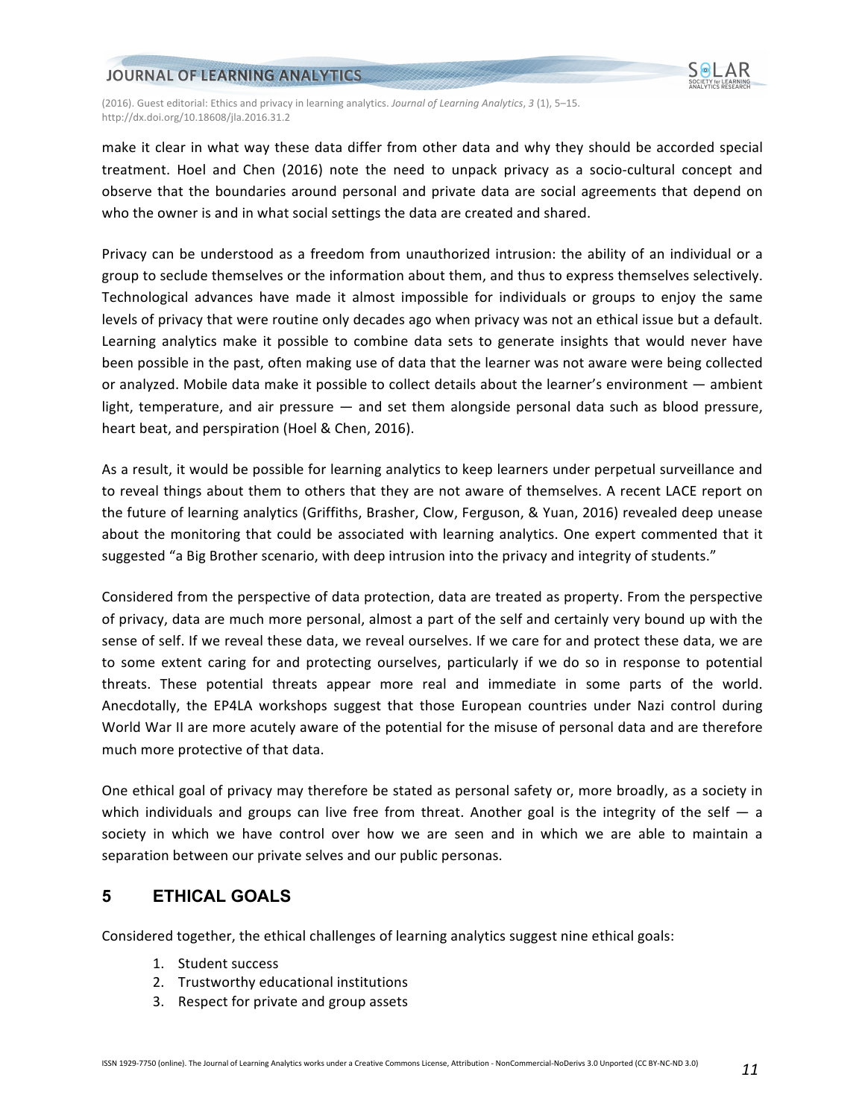

(2016). Guest editorial: Ethics and privacy in learning analytics. *Journal of Learning Analytics*, 3 (1), 5–15. http://dx.doi.org/10.18608/jla.2016.31.2

make it clear in what way these data differ from other data and why they should be accorded special treatment. Hoel and Chen (2016) note the need to unpack privacy as a socio-cultural concept and observe that the boundaries around personal and private data are social agreements that depend on who the owner is and in what social settings the data are created and shared.

Privacy can be understood as a freedom from unauthorized intrusion: the ability of an individual or a group to seclude themselves or the information about them, and thus to express themselves selectively. Technological advances have made it almost impossible for individuals or groups to enjoy the same levels of privacy that were routine only decades ago when privacy was not an ethical issue but a default. Learning analytics make it possible to combine data sets to generate insights that would never have been possible in the past, often making use of data that the learner was not aware were being collected or analyzed. Mobile data make it possible to collect details about the learner's environment — ambient light, temperature, and air pressure  $-$  and set them alongside personal data such as blood pressure, heart beat, and perspiration (Hoel & Chen, 2016).

As a result, it would be possible for learning analytics to keep learners under perpetual surveillance and to reveal things about them to others that they are not aware of themselves. A recent LACE report on the future of learning analytics (Griffiths, Brasher, Clow, Ferguson, & Yuan, 2016) revealed deep unease about the monitoring that could be associated with learning analytics. One expert commented that it suggested "a Big Brother scenario, with deep intrusion into the privacy and integrity of students."

Considered from the perspective of data protection, data are treated as property. From the perspective of privacy, data are much more personal, almost a part of the self and certainly very bound up with the sense of self. If we reveal these data, we reveal ourselves. If we care for and protect these data, we are to some extent caring for and protecting ourselves, particularly if we do so in response to potential threats. These potential threats appear more real and immediate in some parts of the world. Anecdotally, the EP4LA workshops suggest that those European countries under Nazi control during World War II are more acutely aware of the potential for the misuse of personal data and are therefore much more protective of that data.

One ethical goal of privacy may therefore be stated as personal safety or, more broadly, as a society in which individuals and groups can live free from threat. Another goal is the integrity of the self  $-$  a society in which we have control over how we are seen and in which we are able to maintain a separation between our private selves and our public personas.

# **5 ETHICAL GOALS**

Considered together, the ethical challenges of learning analytics suggest nine ethical goals:

- 1. Student success
- 2. Trustworthy educational institutions
- 3. Respect for private and group assets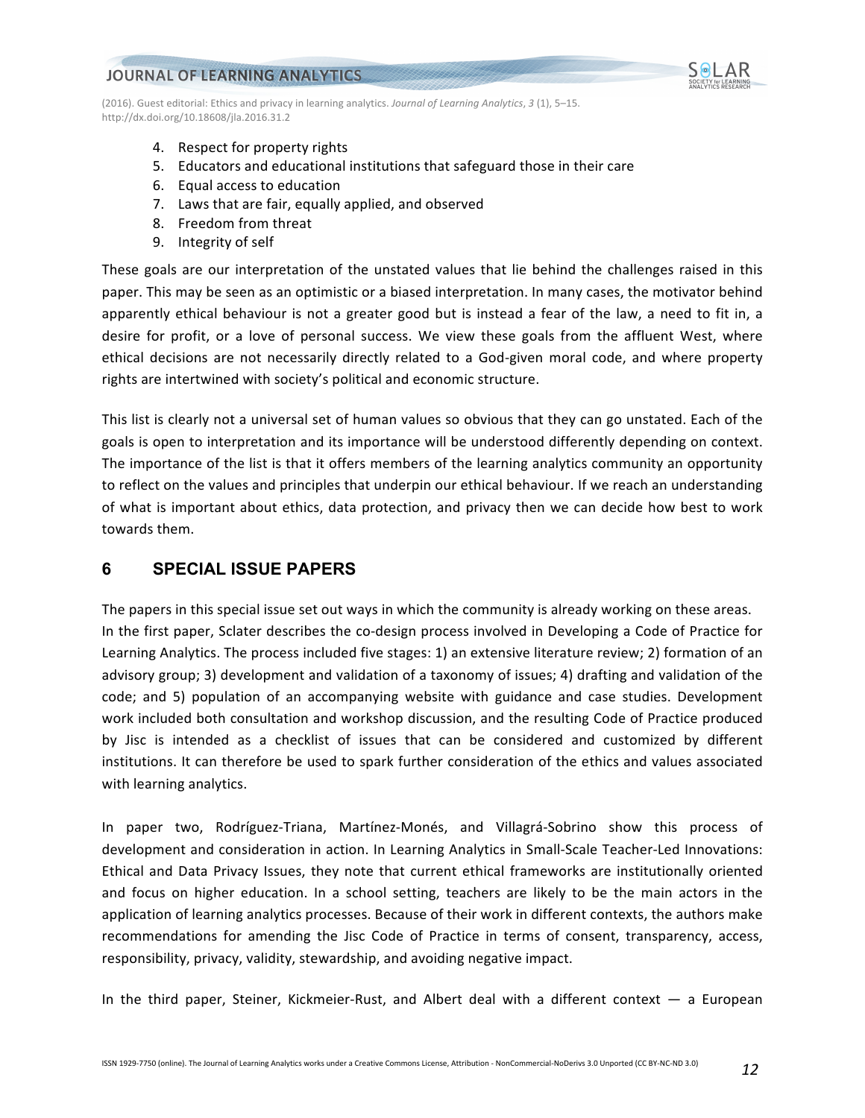

- 4. Respect for property rights
- 5. Educators and educational institutions that safeguard those in their care
- 6. Equal access to education
- 7. Laws that are fair, equally applied, and observed
- 8. Freedom from threat
- 9. Integrity of self

These goals are our interpretation of the unstated values that lie behind the challenges raised in this paper. This may be seen as an optimistic or a biased interpretation. In many cases, the motivator behind apparently ethical behaviour is not a greater good but is instead a fear of the law, a need to fit in, a desire for profit, or a love of personal success. We view these goals from the affluent West, where ethical decisions are not necessarily directly related to a God-given moral code, and where property rights are intertwined with society's political and economic structure.

This list is clearly not a universal set of human values so obvious that they can go unstated. Each of the goals is open to interpretation and its importance will be understood differently depending on context. The importance of the list is that it offers members of the learning analytics community an opportunity to reflect on the values and principles that underpin our ethical behaviour. If we reach an understanding of what is important about ethics, data protection, and privacy then we can decide how best to work towards them.

# **6 SPECIAL ISSUE PAPERS**

The papers in this special issue set out ways in which the community is already working on these areas. In the first paper, Sclater describes the co-design process involved in Developing a Code of Practice for Learning Analytics. The process included five stages: 1) an extensive literature review; 2) formation of an advisory group; 3) development and validation of a taxonomy of issues; 4) drafting and validation of the code; and 5) population of an accompanying website with guidance and case studies. Development work included both consultation and workshop discussion, and the resulting Code of Practice produced by Jisc is intended as a checklist of issues that can be considered and customized by different institutions. It can therefore be used to spark further consideration of the ethics and values associated with learning analytics.

In paper two, Rodríguez-Triana, Martínez-Monés, and Villagrá-Sobrino show this process of development and consideration in action. In Learning Analytics in Small-Scale Teacher-Led Innovations: Ethical and Data Privacy Issues, they note that current ethical frameworks are institutionally oriented and focus on higher education. In a school setting, teachers are likely to be the main actors in the application of learning analytics processes. Because of their work in different contexts, the authors make recommendations for amending the Jisc Code of Practice in terms of consent, transparency, access, responsibility, privacy, validity, stewardship, and avoiding negative impact.

In the third paper, Steiner, Kickmeier-Rust, and Albert deal with a different context  $-$  a European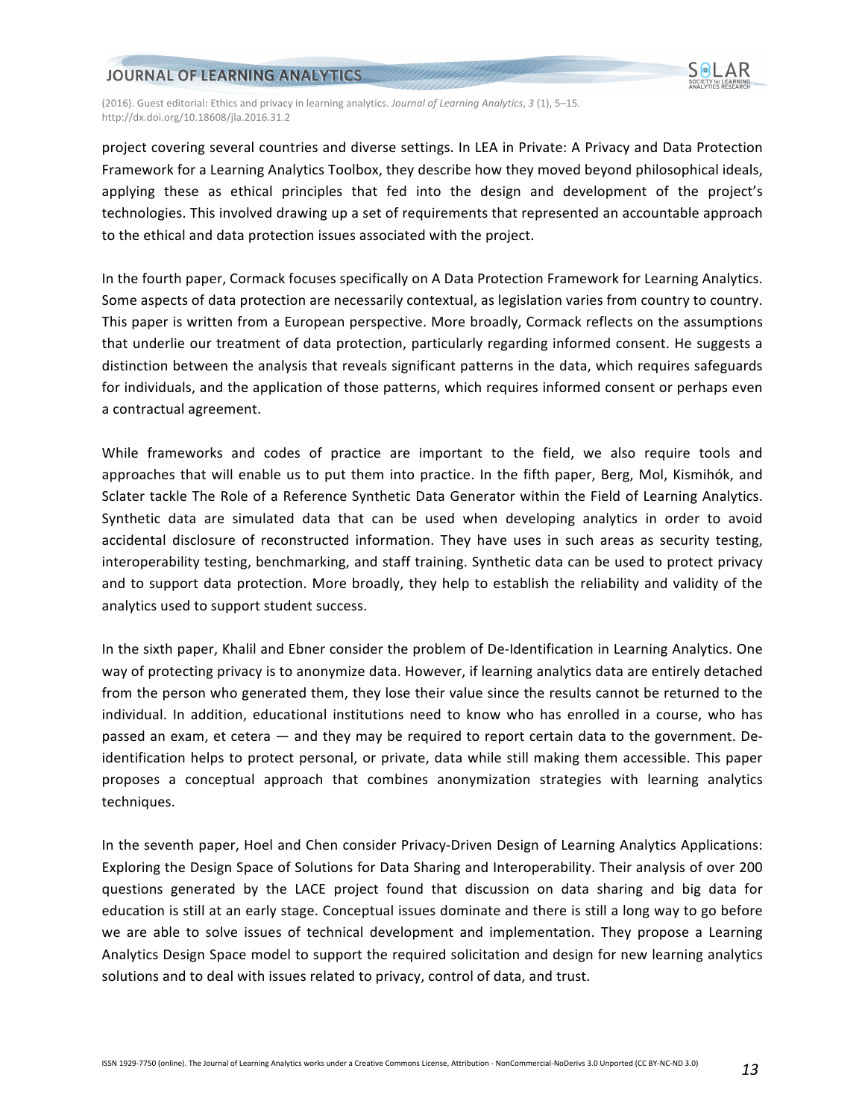

(2016). Guest editorial: Ethics and privacy in learning analytics. *Journal of Learning Analytics*, 3 (1), 5–15. http://dx.doi.org/10.18608/jla.2016.31.2

project covering several countries and diverse settings. In LEA in Private: A Privacy and Data Protection Framework for a Learning Analytics Toolbox, they describe how they moved beyond philosophical ideals, applying these as ethical principles that fed into the design and development of the project's technologies. This involved drawing up a set of requirements that represented an accountable approach to the ethical and data protection issues associated with the project.

In the fourth paper, Cormack focuses specifically on A Data Protection Framework for Learning Analytics. Some aspects of data protection are necessarily contextual, as legislation varies from country to country. This paper is written from a European perspective. More broadly, Cormack reflects on the assumptions that underlie our treatment of data protection, particularly regarding informed consent. He suggests a distinction between the analysis that reveals significant patterns in the data, which requires safeguards for individuals, and the application of those patterns, which requires informed consent or perhaps even a contractual agreement.

While frameworks and codes of practice are important to the field, we also require tools and approaches that will enable us to put them into practice. In the fifth paper, Berg, Mol, Kismihók, and Sclater tackle The Role of a Reference Synthetic Data Generator within the Field of Learning Analytics. Synthetic data are simulated data that can be used when developing analytics in order to avoid accidental disclosure of reconstructed information. They have uses in such areas as security testing, interoperability testing, benchmarking, and staff training. Synthetic data can be used to protect privacy and to support data protection. More broadly, they help to establish the reliability and validity of the analytics used to support student success.

In the sixth paper, Khalil and Ebner consider the problem of De-Identification in Learning Analytics. One way of protecting privacy is to anonymize data. However, if learning analytics data are entirely detached from the person who generated them, they lose their value since the results cannot be returned to the individual. In addition, educational institutions need to know who has enrolled in a course, who has passed an exam, et cetera — and they may be required to report certain data to the government. Deidentification helps to protect personal, or private, data while still making them accessible. This paper proposes a conceptual approach that combines anonymization strategies with learning analytics techniques.

In the seventh paper, Hoel and Chen consider Privacy-Driven Design of Learning Analytics Applications: Exploring the Design Space of Solutions for Data Sharing and Interoperability. Their analysis of over 200 questions generated by the LACE project found that discussion on data sharing and big data for education is still at an early stage. Conceptual issues dominate and there is still a long way to go before we are able to solve issues of technical development and implementation. They propose a Learning Analytics Design Space model to support the required solicitation and design for new learning analytics solutions and to deal with issues related to privacy, control of data, and trust.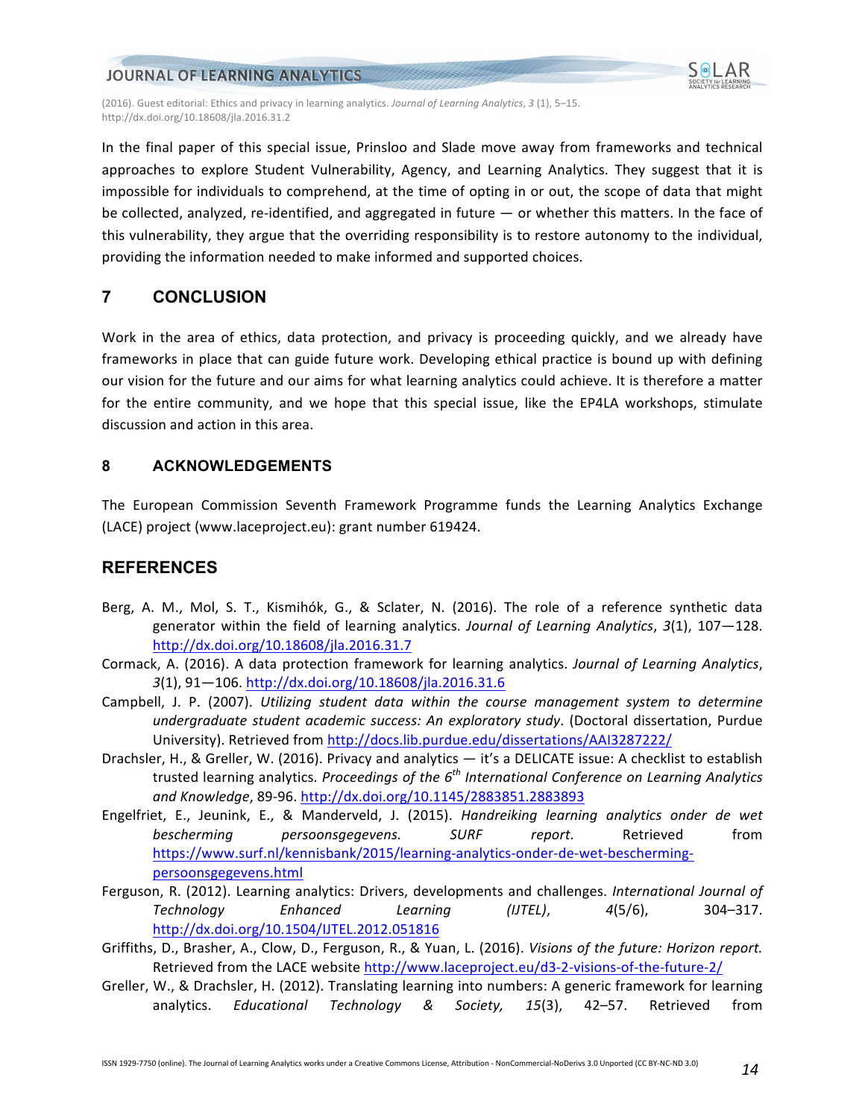

(2016). Guest editorial: Ethics and privacy in learning analytics. *Journal of Learning Analytics*, 3 (1), 5–15. http://dx.doi.org/10.18608/jla.2016.31.2

In the final paper of this special issue, Prinsloo and Slade move away from frameworks and technical approaches to explore Student Vulnerability, Agency, and Learning Analytics. They suggest that it is impossible for individuals to comprehend, at the time of opting in or out, the scope of data that might be collected, analyzed, re-identified, and aggregated in future — or whether this matters. In the face of this vulnerability, they argue that the overriding responsibility is to restore autonomy to the individual, providing the information needed to make informed and supported choices.

# **7 CONCLUSION**

Work in the area of ethics, data protection, and privacy is proceeding quickly, and we already have frameworks in place that can guide future work. Developing ethical practice is bound up with defining our vision for the future and our aims for what learning analytics could achieve. It is therefore a matter for the entire community, and we hope that this special issue, like the EP4LA workshops, stimulate discussion and action in this area.

### **8 ACKNOWLEDGEMENTS**

The European Commission Seventh Framework Programme funds the Learning Analytics Exchange (LACE) project (www.laceproject.eu): grant number 619424.

# **REFERENCES**

- Berg, A. M., Mol, S. T., Kismihók, G., & Sclater, N. (2016). The role of a reference synthetic data generator within the field of learning analytics. *Journal of Learning Analytics*, 3(1), 107–128. http://dx.doi.org/10.18608/jla.2016.31.7
- Cormack, A. (2016). A data protection framework for learning analytics. *Journal of Learning Analytics*, *3*(1), 91—106. http://dx.doi.org/10.18608/jla.2016.31.6
- Campbell, J. P. (2007). *Utilizing student data within the course management system to determine undergraduate student academic success: An exploratory study*. (Doctoral dissertation, Purdue University). Retrieved from http://docs.lib.purdue.edu/dissertations/AAI3287222/
- Drachsler, H., & Greller, W. (2016). Privacy and analytics it's a DELICATE issue: A checklist to establish trusted learning analytics. *Proceedings of the 6<sup>th</sup> International Conference on Learning Analytics and Knowledge*, 89-96. http://dx.doi.org/10.1145/2883851.2883893
- Engelfriet, E., Jeunink, E., & Manderveld, J. (2015). *Handreiking learning analytics onder de wet bescherming persoonsgegevens. SURF report*. Retrieved from https://www.surf.nl/kennisbank/2015/learning-analytics-onder-de-wet-beschermingpersoonsgegevens.html
- Ferguson, R. (2012). Learning analytics: Drivers, developments and challenges. International Journal of *Technology Enhanced Learning (IJTEL)*, *4*(5/6), 304–317. http://dx.doi.org/10.1504/IJTEL.2012.051816
- Griffiths, D., Brasher, A., Clow, D., Ferguson, R., & Yuan, L. (2016). *Visions of the future: Horizon report.* Retrieved from the LACE website http://www.laceproject.eu/d3-2-visions-of-the-future-2/
- Greller, W., & Drachsler, H. (2012). Translating learning into numbers: A generic framework for learning analytics. *Educational Technology & Society*, 15(3), 42–57. Retrieved from